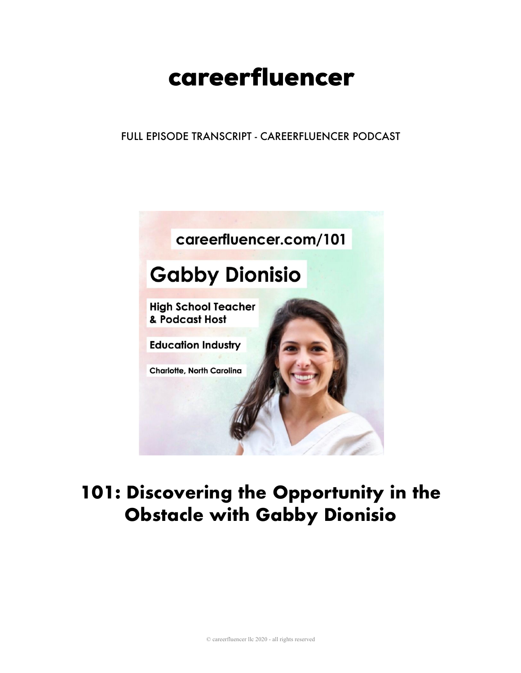# careerfluencer

FULL EPISODE TRANSCRIPT - CAREERFLUENCER PODCAST



## 101: Discovering the Opportunity in the **Obstacle with Gabby Dionisio**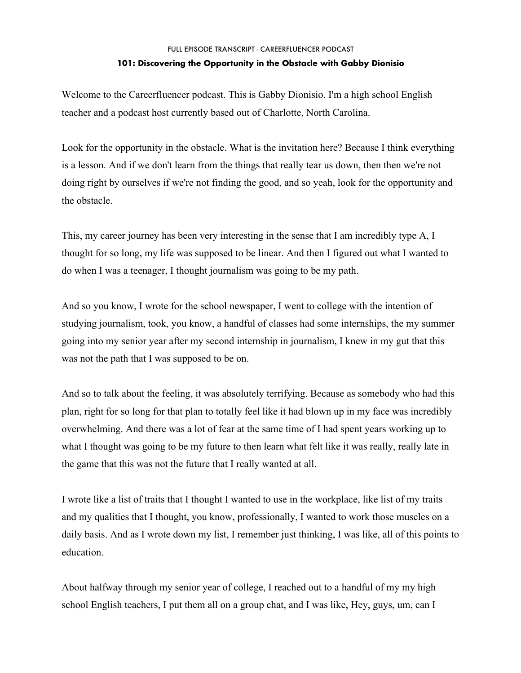Welcome to the Careerfluencer podcast. This is Gabby Dionisio. I'm a high school English teacher and a podcast host currently based out of Charlotte, North Carolina.

Look for the opportunity in the obstacle. What is the invitation here? Because I think everything is a lesson. And if we don't learn from the things that really tear us down, then then we're not doing right by ourselves if we're not finding the good, and so yeah, look for the opportunity and the obstacle.

This, my career journey has been very interesting in the sense that I am incredibly type A, I thought for so long, my life was supposed to be linear. And then I figured out what I wanted to do when I was a teenager, I thought journalism was going to be my path.

And so you know, I wrote for the school newspaper, I went to college with the intention of studying journalism, took, you know, a handful of classes had some internships, the my summer going into my senior year after my second internship in journalism, I knew in my gut that this was not the path that I was supposed to be on.

And so to talk about the feeling, it was absolutely terrifying. Because as somebody who had this plan, right for so long for that plan to totally feel like it had blown up in my face was incredibly overwhelming. And there was a lot of fear at the same time of I had spent years working up to what I thought was going to be my future to then learn what felt like it was really, really late in the game that this was not the future that I really wanted at all.

I wrote like a list of traits that I thought I wanted to use in the workplace, like list of my traits and my qualities that I thought, you know, professionally, I wanted to work those muscles on a daily basis. And as I wrote down my list, I remember just thinking, I was like, all of this points to education.

About halfway through my senior year of college, I reached out to a handful of my my high school English teachers, I put them all on a group chat, and I was like, Hey, guys, um, can I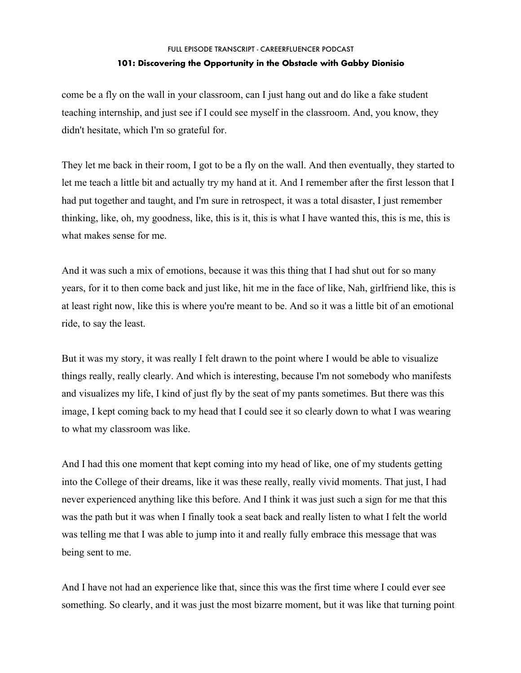come be a fly on the wall in your classroom, can I just hang out and do like a fake student teaching internship, and just see if I could see myself in the classroom. And, you know, they didn't hesitate, which I'm so grateful for.

They let me back in their room, I got to be a fly on the wall. And then eventually, they started to let me teach a little bit and actually try my hand at it. And I remember after the first lesson that I had put together and taught, and I'm sure in retrospect, it was a total disaster, I just remember thinking, like, oh, my goodness, like, this is it, this is what I have wanted this, this is me, this is what makes sense for me.

And it was such a mix of emotions, because it was this thing that I had shut out for so many years, for it to then come back and just like, hit me in the face of like, Nah, girlfriend like, this is at least right now, like this is where you're meant to be. And so it was a little bit of an emotional ride, to say the least.

But it was my story, it was really I felt drawn to the point where I would be able to visualize things really, really clearly. And which is interesting, because I'm not somebody who manifests and visualizes my life, I kind of just fly by the seat of my pants sometimes. But there was this image, I kept coming back to my head that I could see it so clearly down to what I was wearing to what my classroom was like.

And I had this one moment that kept coming into my head of like, one of my students getting into the College of their dreams, like it was these really, really vivid moments. That just, I had never experienced anything like this before. And I think it was just such a sign for me that this was the path but it was when I finally took a seat back and really listen to what I felt the world was telling me that I was able to jump into it and really fully embrace this message that was being sent to me.

And I have not had an experience like that, since this was the first time where I could ever see something. So clearly, and it was just the most bizarre moment, but it was like that turning point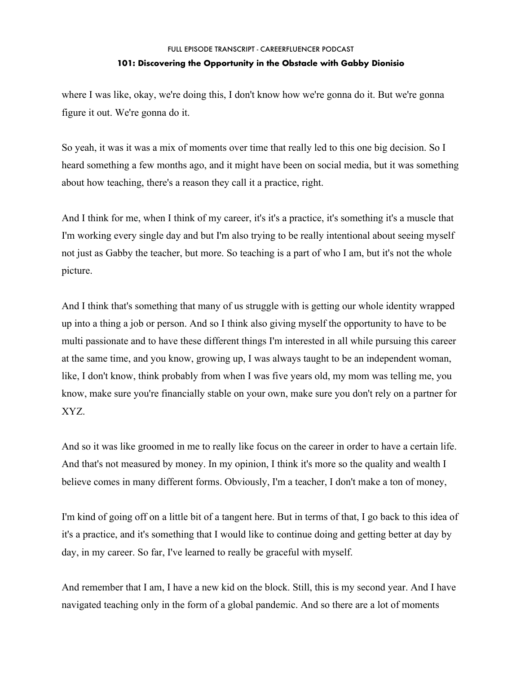where I was like, okay, we're doing this, I don't know how we're gonna do it. But we're gonna figure it out. We're gonna do it.

So yeah, it was it was a mix of moments over time that really led to this one big decision. So I heard something a few months ago, and it might have been on social media, but it was something about how teaching, there's a reason they call it a practice, right.

And I think for me, when I think of my career, it's it's a practice, it's something it's a muscle that I'm working every single day and but I'm also trying to be really intentional about seeing myself not just as Gabby the teacher, but more. So teaching is a part of who I am, but it's not the whole picture.

And I think that's something that many of us struggle with is getting our whole identity wrapped up into a thing a job or person. And so I think also giving myself the opportunity to have to be multi passionate and to have these different things I'm interested in all while pursuing this career at the same time, and you know, growing up, I was always taught to be an independent woman, like, I don't know, think probably from when I was five years old, my mom was telling me, you know, make sure you're financially stable on your own, make sure you don't rely on a partner for XYZ.

And so it was like groomed in me to really like focus on the career in order to have a certain life. And that's not measured by money. In my opinion, I think it's more so the quality and wealth I believe comes in many different forms. Obviously, I'm a teacher, I don't make a ton of money,

I'm kind of going off on a little bit of a tangent here. But in terms of that, I go back to this idea of it's a practice, and it's something that I would like to continue doing and getting better at day by day, in my career. So far, I've learned to really be graceful with myself.

And remember that I am, I have a new kid on the block. Still, this is my second year. And I have navigated teaching only in the form of a global pandemic. And so there are a lot of moments